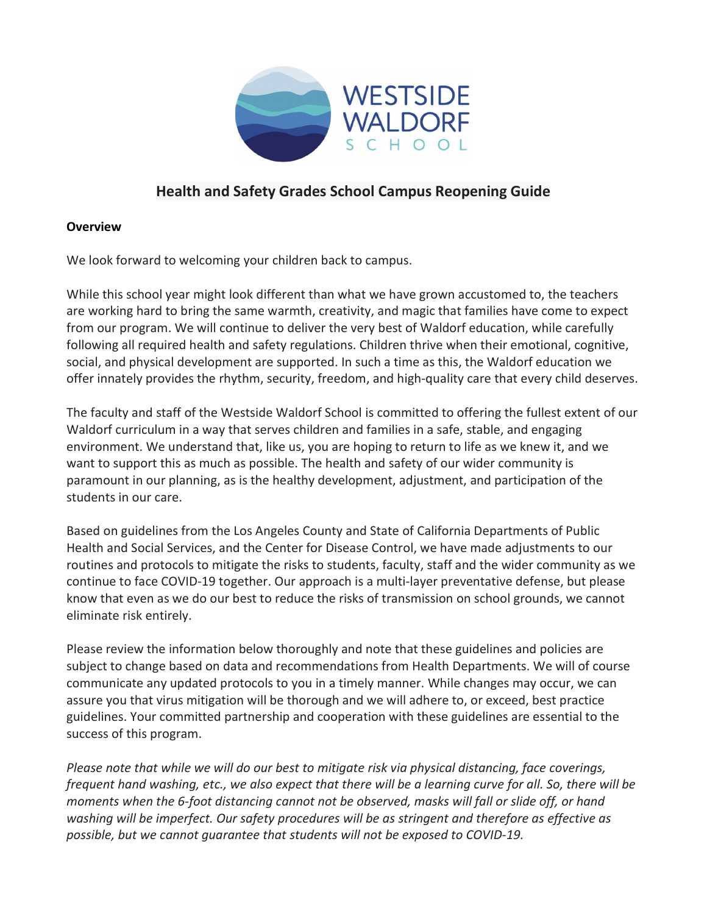

# Health and Safety Grades School Campus Reopening Guide

#### **Overview**

We look forward to welcoming your children back to campus.

While this school year might look different than what we have grown accustomed to, the teachers are working hard to bring the same warmth, creativity, and magic that families have come to expect from our program. We will continue to deliver the very best of Waldorf education, while carefully following all required health and safety regulations. Children thrive when their emotional, cognitive, social, and physical development are supported. In such a time as this, the Waldorf education we offer innately provides the rhythm, security, freedom, and high-quality care that every child deserves.

The faculty and staff of the Westside Waldorf School is committed to offering the fullest extent of our Waldorf curriculum in a way that serves children and families in a safe, stable, and engaging environment. We understand that, like us, you are hoping to return to life as we knew it, and we want to support this as much as possible. The health and safety of our wider community is paramount in our planning, as is the healthy development, adjustment, and participation of the students in our care.

Based on guidelines from the Los Angeles County and State of California Departments of Public Health and Social Services, and the Center for Disease Control, we have made adjustments to our routines and protocols to mitigate the risks to students, faculty, staff and the wider community as we continue to face COVID-19 together. Our approach is a multi-layer preventative defense, but please know that even as we do our best to reduce the risks of transmission on school grounds, we cannot eliminate risk entirely.

Please review the information below thoroughly and note that these guidelines and policies are subject to change based on data and recommendations from Health Departments. We will of course communicate any updated protocols to you in a timely manner. While changes may occur, we can assure you that virus mitigation will be thorough and we will adhere to, or exceed, best practice guidelines. Your committed partnership and cooperation with these guidelines are essential to the success of this program.

Please note that while we will do our best to mitigate risk via physical distancing, face coverings, frequent hand washing, etc., we also expect that there will be a learning curve for all. So, there will be moments when the 6-foot distancing cannot not be observed, masks will fall or slide off, or hand washing will be imperfect. Our safety procedures will be as stringent and therefore as effective as possible, but we cannot guarantee that students will not be exposed to COVID-19.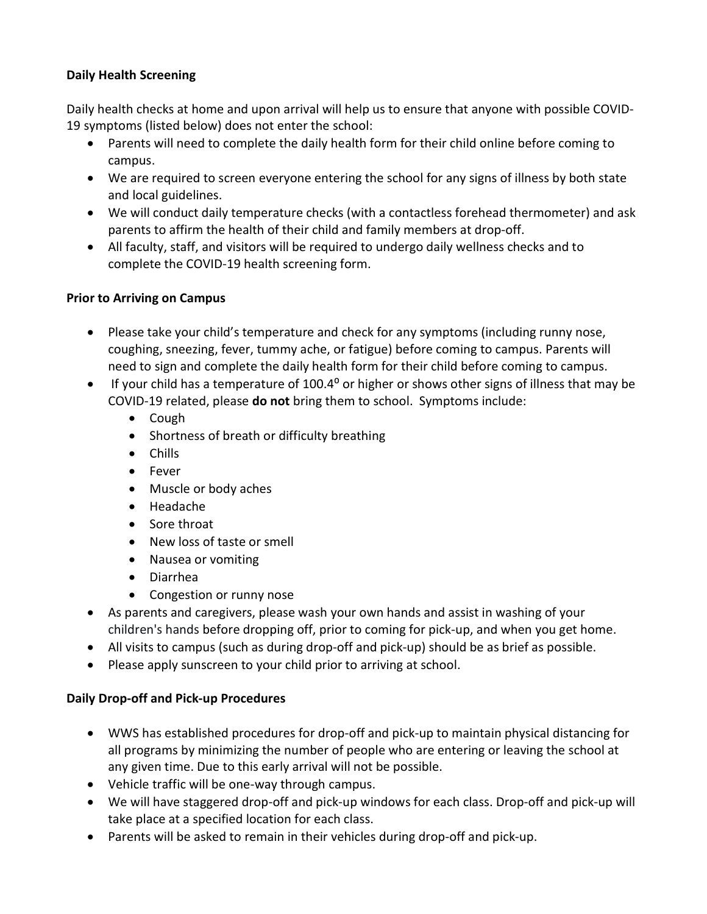## Daily Health Screening

Daily health checks at home and upon arrival will help us to ensure that anyone with possible COVID-19 symptoms (listed below) does not enter the school:

- Parents will need to complete the daily health form for their child online before coming to campus.
- We are required to screen everyone entering the school for any signs of illness by both state and local guidelines.
- We will conduct daily temperature checks (with a contactless forehead thermometer) and ask parents to affirm the health of their child and family members at drop-off.
- All faculty, staff, and visitors will be required to undergo daily wellness checks and to complete the COVID-19 health screening form.

## Prior to Arriving on Campus

- Please take your child's temperature and check for any symptoms (including runny nose, coughing, sneezing, fever, tummy ache, or fatigue) before coming to campus. Parents will need to sign and complete the daily health form for their child before coming to campus.
- If your child has a temperature of  $100.4^{\circ}$  or higher or shows other signs of illness that may be COVID-19 related, please do not bring them to school. Symptoms include:
	- Cough
	- Shortness of breath or difficulty breathing
	- Chills
	- Fever
	- Muscle or body aches
	- Headache
	- Sore throat
	- New loss of taste or smell
	- Nausea or vomiting
	- Diarrhea
	- Congestion or runny nose
- As parents and caregivers, please wash your own hands and assist in washing of your children's hands before dropping off, prior to coming for pick-up, and when you get home.
- All visits to campus (such as during drop-off and pick-up) should be as brief as possible.
- Please apply sunscreen to your child prior to arriving at school.

#### Daily Drop-off and Pick-up Procedures

- WWS has established procedures for drop-off and pick-up to maintain physical distancing for all programs by minimizing the number of people who are entering or leaving the school at any given time. Due to this early arrival will not be possible.
- Vehicle traffic will be one-way through campus.
- We will have staggered drop-off and pick-up windows for each class. Drop-off and pick-up will take place at a specified location for each class.
- Parents will be asked to remain in their vehicles during drop-off and pick-up.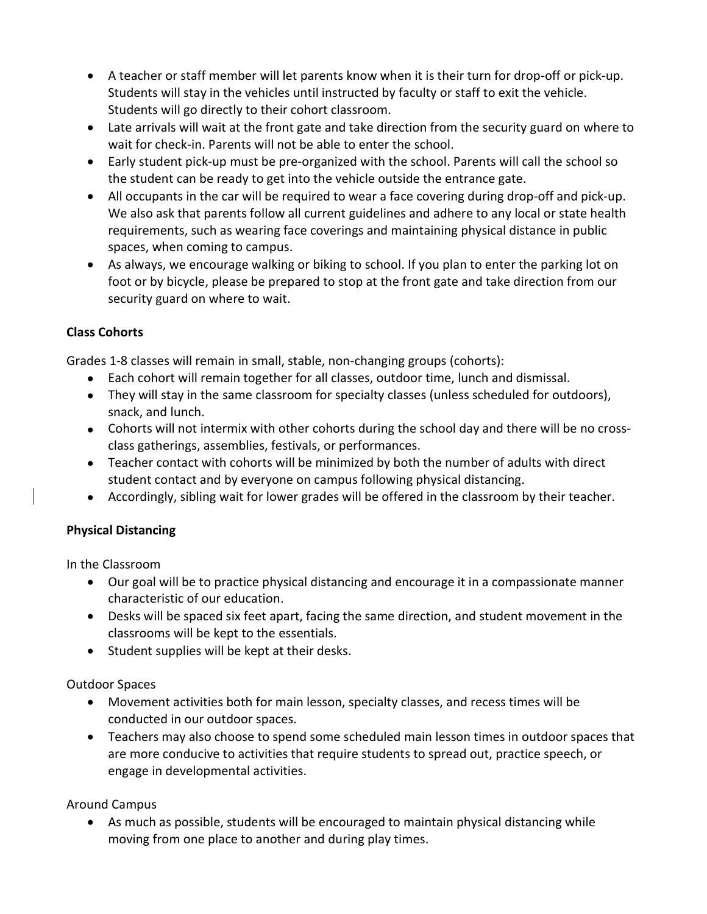- A teacher or staff member will let parents know when it is their turn for drop-off or pick-up. Students will stay in the vehicles until instructed by faculty or staff to exit the vehicle. Students will go directly to their cohort classroom.
- Late arrivals will wait at the front gate and take direction from the security guard on where to wait for check-in. Parents will not be able to enter the school.
- Early student pick-up must be pre-organized with the school. Parents will call the school so the student can be ready to get into the vehicle outside the entrance gate.
- All occupants in the car will be required to wear a face covering during drop-off and pick-up. We also ask that parents follow all current guidelines and adhere to any local or state health requirements, such as wearing face coverings and maintaining physical distance in public spaces, when coming to campus.
- As always, we encourage walking or biking to school. If you plan to enter the parking lot on foot or by bicycle, please be prepared to stop at the front gate and take direction from our security guard on where to wait.

## Class Cohorts

Grades 1-8 classes will remain in small, stable, non-changing groups (cohorts):

- Each cohort will remain together for all classes, outdoor time, lunch and dismissal.
- They will stay in the same classroom for specialty classes (unless scheduled for outdoors), snack, and lunch.
- Cohorts will not intermix with other cohorts during the school day and there will be no crossclass gatherings, assemblies, festivals, or performances.
- Teacher contact with cohorts will be minimized by both the number of adults with direct student contact and by everyone on campus following physical distancing.
- Accordingly, sibling wait for lower grades will be offered in the classroom by their teacher.

# Physical Distancing

In the Classroom

- Our goal will be to practice physical distancing and encourage it in a compassionate manner characteristic of our education.
- Desks will be spaced six feet apart, facing the same direction, and student movement in the classrooms will be kept to the essentials.
- Student supplies will be kept at their desks.

Outdoor Spaces

- Movement activities both for main lesson, specialty classes, and recess times will be conducted in our outdoor spaces.
- Teachers may also choose to spend some scheduled main lesson times in outdoor spaces that are more conducive to activities that require students to spread out, practice speech, or engage in developmental activities.

Around Campus

 As much as possible, students will be encouraged to maintain physical distancing while moving from one place to another and during play times.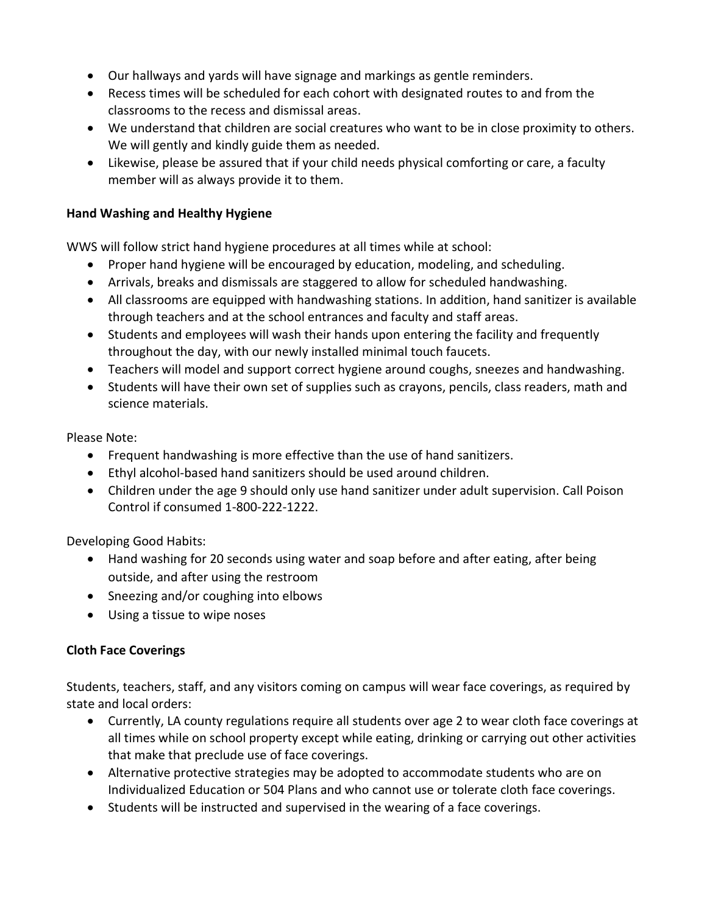- Our hallways and yards will have signage and markings as gentle reminders.
- Recess times will be scheduled for each cohort with designated routes to and from the classrooms to the recess and dismissal areas.
- We understand that children are social creatures who want to be in close proximity to others. We will gently and kindly guide them as needed.
- Likewise, please be assured that if your child needs physical comforting or care, a faculty member will as always provide it to them.

#### Hand Washing and Healthy Hygiene

WWS will follow strict hand hygiene procedures at all times while at school:

- Proper hand hygiene will be encouraged by education, modeling, and scheduling.
- Arrivals, breaks and dismissals are staggered to allow for scheduled handwashing.
- All classrooms are equipped with handwashing stations. In addition, hand sanitizer is available through teachers and at the school entrances and faculty and staff areas.
- Students and employees will wash their hands upon entering the facility and frequently throughout the day, with our newly installed minimal touch faucets.
- Teachers will model and support correct hygiene around coughs, sneezes and handwashing.
- Students will have their own set of supplies such as crayons, pencils, class readers, math and science materials.

Please Note:

- Frequent handwashing is more effective than the use of hand sanitizers.
- Ethyl alcohol-based hand sanitizers should be used around children.
- Children under the age 9 should only use hand sanitizer under adult supervision. Call Poison Control if consumed 1-800-222-1222.

Developing Good Habits:

- Hand washing for 20 seconds using water and soap before and after eating, after being outside, and after using the restroom
- Sneezing and/or coughing into elbows
- Using a tissue to wipe noses

#### Cloth Face Coverings

Students, teachers, staff, and any visitors coming on campus will wear face coverings, as required by state and local orders:

- Currently, LA county regulations require all students over age 2 to wear cloth face coverings at all times while on school property except while eating, drinking or carrying out other activities that make that preclude use of face coverings.
- Alternative protective strategies may be adopted to accommodate students who are on Individualized Education or 504 Plans and who cannot use or tolerate cloth face coverings.
- Students will be instructed and supervised in the wearing of a face coverings.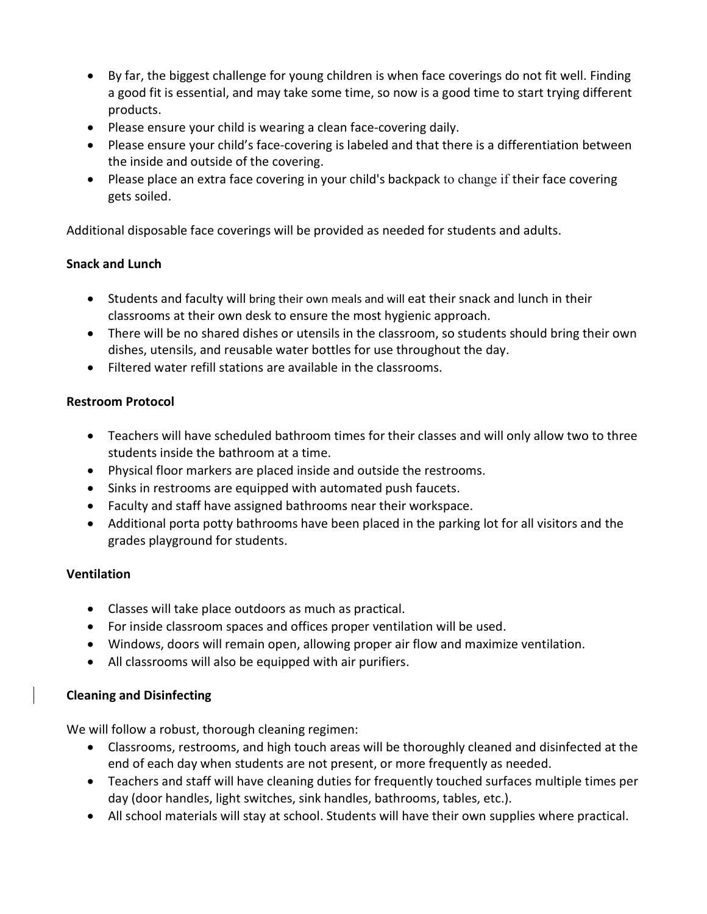- By far, the biggest challenge for young children is when face coverings do not fit well. Finding a good fit is essential, and may take some time, so now is a good time to start trying different products.
- Please ensure your child is wearing a clean face-covering daily.
- Please ensure your child's face-covering is labeled and that there is a differentiation between the inside and outside of the covering.
- Please place an extra face covering in your child's backpack to change if their face covering gets soiled.

Additional disposable face coverings will be provided as needed for students and adults.

## Snack and Lunch

- Students and faculty will bring their own meals and will eat their snack and lunch in their classrooms at their own desk to ensure the most hygienic approach.
- There will be no shared dishes or utensils in the classroom, so students should bring their own dishes, utensils, and reusable water bottles for use throughout the day.
- Filtered water refill stations are available in the classrooms.

#### Restroom Protocol

- Teachers will have scheduled bathroom times for their classes and will only allow two to three students inside the bathroom at a time.
- Physical floor markers are placed inside and outside the restrooms.
- Sinks in restrooms are equipped with automated push faucets.
- Faculty and staff have assigned bathrooms near their workspace.
- Additional porta potty bathrooms have been placed in the parking lot for all visitors and the grades playground for students.

#### Ventilation

- Classes will take place outdoors as much as practical.
- For inside classroom spaces and offices proper ventilation will be used.
- Windows, doors will remain open, allowing proper air flow and maximize ventilation.
- All classrooms will also be equipped with air purifiers.

#### Cleaning and Disinfecting

We will follow a robust, thorough cleaning regimen:

- Classrooms, restrooms, and high touch areas will be thoroughly cleaned and disinfected at the end of each day when students are not present, or more frequently as needed.
- Teachers and staff will have cleaning duties for frequently touched surfaces multiple times per day (door handles, light switches, sink handles, bathrooms, tables, etc.).
- All school materials will stay at school. Students will have their own supplies where practical.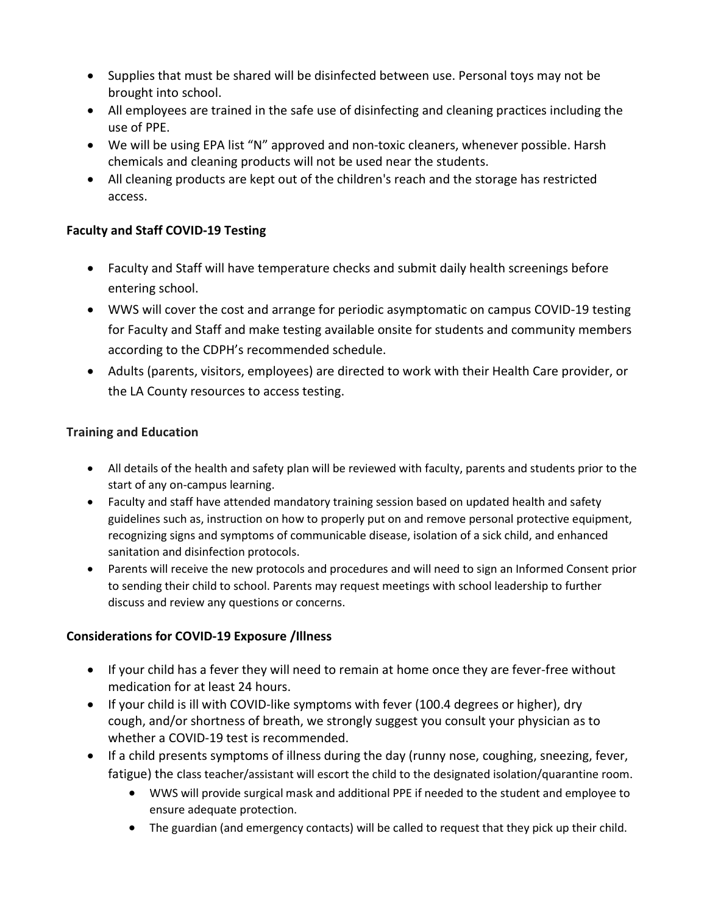- Supplies that must be shared will be disinfected between use. Personal toys may not be brought into school.
- All employees are trained in the safe use of disinfecting and cleaning practices including the use of PPE.
- We will be using EPA list "N" approved and non-toxic cleaners, whenever possible. Harsh chemicals and cleaning products will not be used near the students.
- All cleaning products are kept out of the children's reach and the storage has restricted access.

## Faculty and Staff COVID-19 Testing

- Faculty and Staff will have temperature checks and submit daily health screenings before entering school.
- WWS will cover the cost and arrange for periodic asymptomatic on campus COVID-19 testing for Faculty and Staff and make testing available onsite for students and community members according to the CDPH's recommended schedule.
- Adults (parents, visitors, employees) are directed to work with their Health Care provider, or the LA County resources to access testing.

# Training and Education

- All details of the health and safety plan will be reviewed with faculty, parents and students prior to the start of any on-campus learning.
- Faculty and staff have attended mandatory training session based on updated health and safety guidelines such as, instruction on how to properly put on and remove personal protective equipment, recognizing signs and symptoms of communicable disease, isolation of a sick child, and enhanced sanitation and disinfection protocols.
- Parents will receive the new protocols and procedures and will need to sign an Informed Consent prior to sending their child to school. Parents may request meetings with school leadership to further discuss and review any questions or concerns.

# Considerations for COVID-19 Exposure /Illness

- If your child has a fever they will need to remain at home once they are fever-free without medication for at least 24 hours.
- If your child is ill with COVID-like symptoms with fever (100.4 degrees or higher), dry cough, and/or shortness of breath, we strongly suggest you consult your physician as to whether a COVID-19 test is recommended.
- If a child presents symptoms of illness during the day (runny nose, coughing, sneezing, fever, fatigue) the class teacher/assistant will escort the child to the designated isolation/quarantine room.
	- WWS will provide surgical mask and additional PPE if needed to the student and employee to ensure adequate protection.
	- The guardian (and emergency contacts) will be called to request that they pick up their child.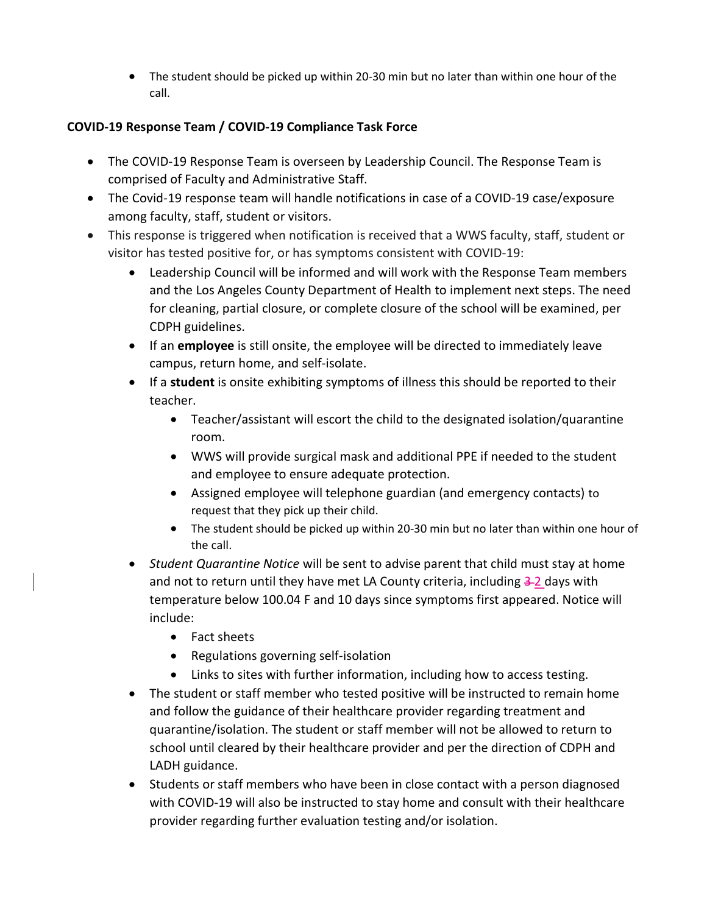The student should be picked up within 20-30 min but no later than within one hour of the call.

# COVID-19 Response Team / COVID-19 Compliance Task Force

- The COVID-19 Response Team is overseen by Leadership Council. The Response Team is comprised of Faculty and Administrative Staff.
- The Covid-19 response team will handle notifications in case of a COVID-19 case/exposure among faculty, staff, student or visitors.
- This response is triggered when notification is received that a WWS faculty, staff, student or visitor has tested positive for, or has symptoms consistent with COVID-19:
	- Leadership Council will be informed and will work with the Response Team members and the Los Angeles County Department of Health to implement next steps. The need for cleaning, partial closure, or complete closure of the school will be examined, per CDPH guidelines.
	- If an employee is still onsite, the employee will be directed to immediately leave campus, return home, and self-isolate.
	- If a student is onsite exhibiting symptoms of illness this should be reported to their teacher.
		- Teacher/assistant will escort the child to the designated isolation/quarantine room.
		- WWS will provide surgical mask and additional PPE if needed to the student and employee to ensure adequate protection.
		- Assigned employee will telephone guardian (and emergency contacts) to request that they pick up their child.
		- The student should be picked up within 20-30 min but no later than within one hour of the call.
	- Student Quarantine Notice will be sent to advise parent that child must stay at home and not to return until they have met LA County criteria, including  $3-2$  days with temperature below 100.04 F and 10 days since symptoms first appeared. Notice will include:
		- Fact sheets
		- Regulations governing self-isolation
		- Links to sites with further information, including how to access testing.
	- The student or staff member who tested positive will be instructed to remain home and follow the guidance of their healthcare provider regarding treatment and quarantine/isolation. The student or staff member will not be allowed to return to school until cleared by their healthcare provider and per the direction of CDPH and LADH guidance.
	- Students or staff members who have been in close contact with a person diagnosed with COVID-19 will also be instructed to stay home and consult with their healthcare provider regarding further evaluation testing and/or isolation.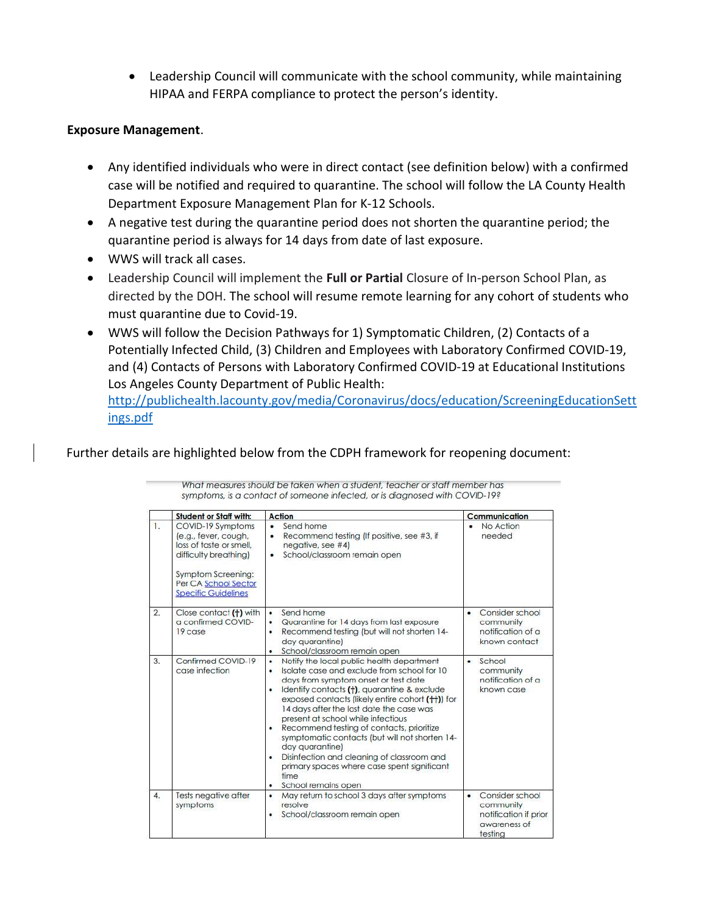Leadership Council will communicate with the school community, while maintaining HIPAA and FERPA compliance to protect the person's identity.

#### Exposure Management.

- Any identified individuals who were in direct contact (see definition below) with a confirmed case will be notified and required to quarantine. The school will follow the LA County Health Department Exposure Management Plan for K-12 Schools.
- A negative test during the quarantine period does not shorten the quarantine period; the quarantine period is always for 14 days from date of last exposure.
- WWS will track all cases.
- Leadership Council will implement the Full or Partial Closure of In-person School Plan, as directed by the DOH. The school will resume remote learning for any cohort of students who must quarantine due to Covid-19.
- WWS will follow the Decision Pathways for 1) Symptomatic Children, (2) Contacts of a Potentially Infected Child, (3) Children and Employees with Laboratory Confirmed COVID-19, and (4) Contacts of Persons with Laboratory Confirmed COVID-19 at Educational Institutions Los Angeles County Department of Public Health:

http://publichealth.lacounty.gov/media/Coronavirus/docs/education/ScreeningEducationSett ings.pdf

#### Further details are highlighted below from the CDPH framework for reopening document:

|                | <b>Student or Staff with:</b>                                                                                                                                                    | Action                                                                                                                                                                                                                                                                                                                                                                                                                                                                                                                                                                   |   | Communication                                                                    |
|----------------|----------------------------------------------------------------------------------------------------------------------------------------------------------------------------------|--------------------------------------------------------------------------------------------------------------------------------------------------------------------------------------------------------------------------------------------------------------------------------------------------------------------------------------------------------------------------------------------------------------------------------------------------------------------------------------------------------------------------------------------------------------------------|---|----------------------------------------------------------------------------------|
| 1.             | COVID-19 Symptoms<br>(e.g., fever, cough,<br>loss of taste or smell.<br>difficulty breathing)<br><b>Symptom Screening:</b><br>Per CA School Sector<br><b>Specific Guidelines</b> | Send home<br>$\bullet$<br>Recommend testing (If positive, see #3, if<br>٠<br>negative, see #4)<br>School/classroom remain open                                                                                                                                                                                                                                                                                                                                                                                                                                           |   | No Action<br>needed                                                              |
| $\overline{2}$ | Close contact (+) with<br>a confirmed COVID-<br>19 case                                                                                                                          | Send home<br>$\bullet$<br>Quarantine for 14 days from last exposure<br>Recommend testing (but will not shorten 14-<br>day auarantine)<br>School/classroom remain open                                                                                                                                                                                                                                                                                                                                                                                                    | ٠ | Consider school<br>community<br>notification of a<br>known contact               |
| 3.             | Confirmed COVID-19<br>case infection                                                                                                                                             | Notify the local public health department<br>٠<br>Isolate case and exclude from school for 10<br>days from symptom onset or test date<br>Identify contacts (†), quarantine & exclude<br>exposed contacts (likely entire cohort (++)) for<br>14 days after the last date the case was<br>present at school while infectious<br>Recommend testing of contacts, prioritize<br>symptomatic contacts (but will not shorten 14-<br>day quarantine)<br>Disinfection and cleaning of classroom and<br>primary spaces where case spent significant<br>time<br>School remains open |   | School<br>community<br>notification of a<br>known case                           |
| 4.             | Tests negative after<br>symptoms                                                                                                                                                 | May return to school 3 days after symptoms<br>٠<br>resolve<br>School/classroom remain open                                                                                                                                                                                                                                                                                                                                                                                                                                                                               | ٠ | Consider school<br>community<br>notification if prior<br>awareness of<br>testing |

What measures should be taken when a student, teacher or staff member has symptoms, is a contact of someone infected, or is diagnosed with COVID-19?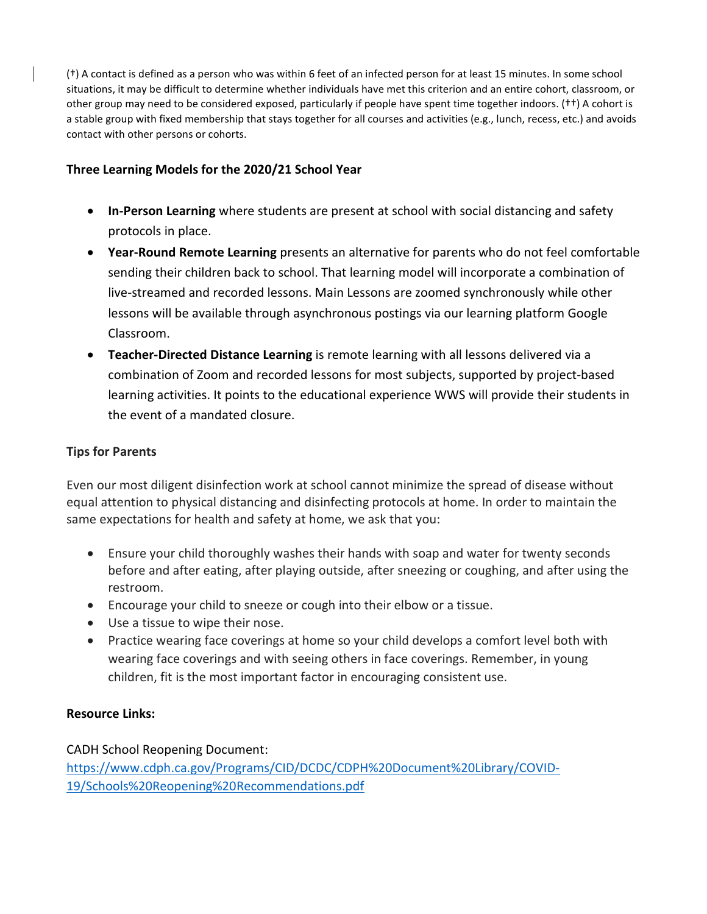(†) A contact is defined as a person who was within 6 feet of an infected person for at least 15 minutes. In some school situations, it may be difficult to determine whether individuals have met this criterion and an entire cohort, classroom, or other group may need to be considered exposed, particularly if people have spent time together indoors. (††) A cohort is a stable group with fixed membership that stays together for all courses and activities (e.g., lunch, recess, etc.) and avoids contact with other persons or cohorts.

#### Three Learning Models for the 2020/21 School Year

- In-Person Learning where students are present at school with social distancing and safety protocols in place.
- Year-Round Remote Learning presents an alternative for parents who do not feel comfortable sending their children back to school. That learning model will incorporate a combination of live-streamed and recorded lessons. Main Lessons are zoomed synchronously while other lessons will be available through asynchronous postings via our learning platform Google Classroom.
- **Teacher-Directed Distance Learning** is remote learning with all lessons delivered via a combination of Zoom and recorded lessons for most subjects, supported by project-based learning activities. It points to the educational experience WWS will provide their students in the event of a mandated closure.

#### Tips for Parents

Even our most diligent disinfection work at school cannot minimize the spread of disease without equal attention to physical distancing and disinfecting protocols at home. In order to maintain the same expectations for health and safety at home, we ask that you:

- Ensure your child thoroughly washes their hands with soap and water for twenty seconds before and after eating, after playing outside, after sneezing or coughing, and after using the restroom.
- Encourage your child to sneeze or cough into their elbow or a tissue.
- Use a tissue to wipe their nose.
- Practice wearing face coverings at home so your child develops a comfort level both with wearing face coverings and with seeing others in face coverings. Remember, in young children, fit is the most important factor in encouraging consistent use.

#### Resource Links:

CADH School Reopening Document:

https://www.cdph.ca.gov/Programs/CID/DCDC/CDPH%20Document%20Library/COVID-19/Schools%20Reopening%20Recommendations.pdf